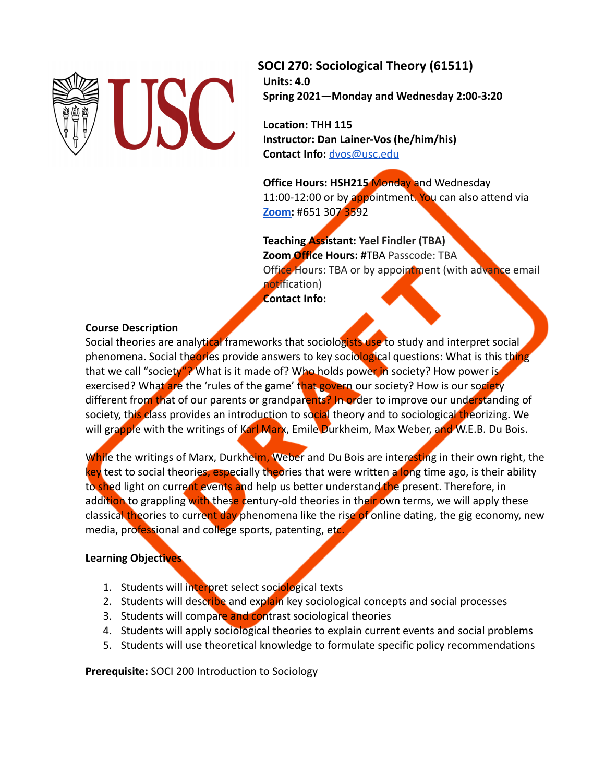

**SOCI 270: Sociological Theory (61511) Units: 4.0 Spring 2021—Monday and Wednesday 2:00-3:20**

**Location: THH 115 Instructor: Dan Lainer-Vos (he/him/his) Contact Info:** [dvos@usc.edu](mailto:dvos@usc.edu)

**Office Hours: HSH215 Monday and Wednesday** 11:00-12:00 or by appointment. You can also attend via **[Zoom:](https://usc.zoom.us/j/6513073592)** #651 307 3592

**Teaching Assistant: Yael Findler (TBA) Zoom Office Hours: #**TBA Passcode: TBA Office Hours: TBA or by appointment (with advance email notification) **Contact Info:**

### **Course Description**

Social theories are analytical frameworks that sociologists use to study and interpret social phenomena. Social theories provide answers to key sociological questions: What is this thing that we call "society"? What is it made of? Who holds power in society? How power is exercised? What are the 'rules of the game' that govern our society? How is our society different from that of our parents or grandparents? In order to improve our understanding of society, this class provides an introduction to social theory and to sociological theorizing. We will grapple with the writings of Karl Marx, Emile Durkheim, Max Weber, and W.E.B. Du Bois.

While the writings of Marx, Durkheim, Weber and Du Bois are interesting in their own right, the key test to social theories, especially theories that were written a long time ago, is their ability to shed light on current events and help us better understand the present. Therefore, in addition to grappling with these century-old theories in their own terms, we will apply these classical theories to current day phenomena like the rise of online dating, the gig economy, new media, professional and college sports, patenting, etc.

## **Learning Objectives**

- 1. Students will interpret select sociological texts
- 2. Students will describe and explain key sociological concepts and social processes
- 3. Students will compare and contrast sociological theories
- 4. Students will apply sociological theories to explain current events and social problems
- 5. Students will use theoretical knowledge to formulate specific policy recommendations

**Prerequisite:** SOCI 200 Introduction to Sociology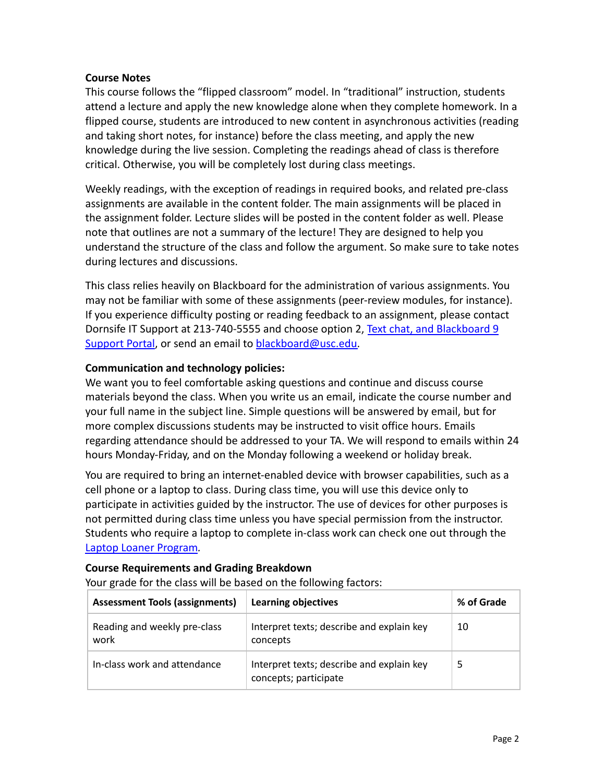### **Course Notes**

This course follows the "flipped classroom" model. In "traditional" instruction, students attend a lecture and apply the new knowledge alone when they complete homework. In a flipped course, students are introduced to new content in asynchronous activities (reading and taking short notes, for instance) before the class meeting, and apply the new knowledge during the live session. Completing the readings ahead of class is therefore critical. Otherwise, you will be completely lost during class meetings.

Weekly readings, with the exception of readings in required books, and related pre-class assignments are available in the content folder. The main assignments will be placed in the assignment folder. Lecture slides will be posted in the content folder as well. Please note that outlines are not a summary of the lecture! They are designed to help you understand the structure of the class and follow the argument. So make sure to take notes during lectures and discussions.

This class relies heavily on Blackboard for the administration of various assignments. You may not be familiar with some of these assignments (peer-review modules, for instance). If you experience difficulty posting or reading feedback to an assignment, please contact Dornsife IT Support at 213-740-5555 and choose option 2, [Text chat, and Blackboard 9](https://help.edusupportcenter.com/shplite/usc/home) [Support Portal,](https://help.edusupportcenter.com/shplite/usc/home) or send an email to blackboard@usc.edu.

# **Communication and technology policies:**

We want you to feel comfortable asking questions and continue and discuss course materials beyond the class. When you write us an email, indicate the course number and your full name in the subject line. Simple questions will be answered by email, but for more complex discussions students may be instructed to visit office hours. Emails regarding attendance should be addressed to your TA. We will respond to emails within 24 hours Monday-Friday, and on the Monday following a weekend or holiday break.

You are required to bring an internet-enabled device with browser capabilities, such as a cell phone or a laptop to class. During class time, you will use this device only to participate in activities guided by the instructor. The use of devices for other purposes is not permitted during class time unless you have special permission from the instructor. Students who require a laptop to complete in-class work can check one out through th[e](https://itservices.usc.edu/spaces/laptoploaner/) [Laptop Loaner Program](https://itservices.usc.edu/spaces/laptoploaner/)*.*

## **Course Requirements and Grading Breakdown**

Your grade for the class will be based on the following factors:

| <b>Assessment Tools (assignments)</b> | <b>Learning objectives</b>                                         | % of Grade |
|---------------------------------------|--------------------------------------------------------------------|------------|
| Reading and weekly pre-class<br>work  | Interpret texts; describe and explain key<br>concepts              | 10         |
| In-class work and attendance          | Interpret texts; describe and explain key<br>concepts; participate |            |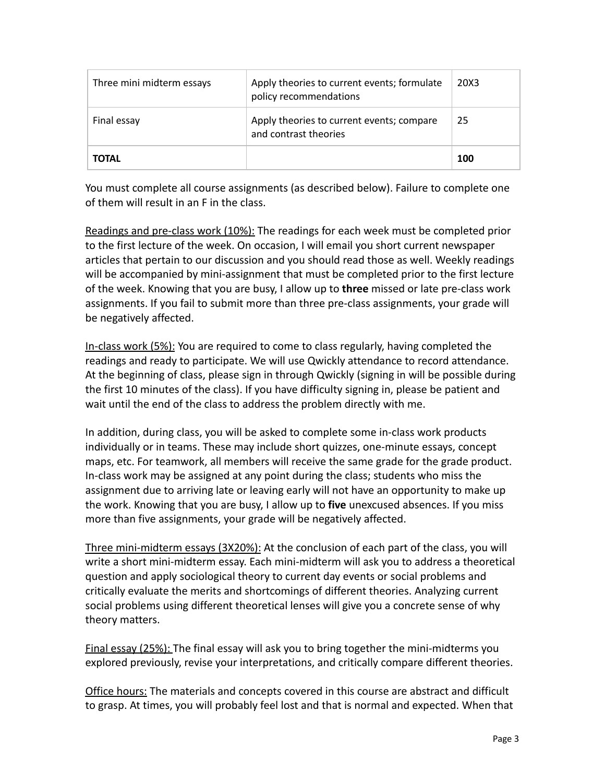| Three mini midterm essays | Apply theories to current events; formulate<br>policy recommendations | 20X3 |
|---------------------------|-----------------------------------------------------------------------|------|
| Final essay               | Apply theories to current events; compare<br>and contrast theories    | 25   |
| <b>TOTAL</b>              |                                                                       | 100  |

You must complete all course assignments (as described below). Failure to complete one of them will result in an F in the class.

Readings and pre-class work (10%): The readings for each week must be completed prior to the first lecture of the week. On occasion, I will email you short current newspaper articles that pertain to our discussion and you should read those as well. Weekly readings will be accompanied by mini-assignment that must be completed prior to the first lecture of the week. Knowing that you are busy, I allow up to **three** missed or late pre-class work assignments. If you fail to submit more than three pre-class assignments, your grade will be negatively affected.

In-class work (5%): You are required to come to class regularly, having completed the readings and ready to participate. We will use Qwickly attendance to record attendance. At the beginning of class, please sign in through Qwickly (signing in will be possible during the first 10 minutes of the class). If you have difficulty signing in, please be patient and wait until the end of the class to address the problem directly with me.

In addition, during class, you will be asked to complete some in-class work products individually or in teams. These may include short quizzes, one-minute essays, concept maps, etc. For teamwork, all members will receive the same grade for the grade product. In-class work may be assigned at any point during the class; students who miss the assignment due to arriving late or leaving early will not have an opportunity to make up the work. Knowing that you are busy, I allow up to **five** unexcused absences. If you miss more than five assignments, your grade will be negatively affected.

Three mini-midterm essays (3X20%): At the conclusion of each part of the class, you will write a short mini-midterm essay. Each mini-midterm will ask you to address a theoretical question and apply sociological theory to current day events or social problems and critically evaluate the merits and shortcomings of different theories. Analyzing current social problems using different theoretical lenses will give you a concrete sense of why theory matters.

Final essay (25%): The final essay will ask you to bring together the mini-midterms you explored previously, revise your interpretations, and critically compare different theories.

Office hours: The materials and concepts covered in this course are abstract and difficult to grasp. At times, you will probably feel lost and that is normal and expected. When that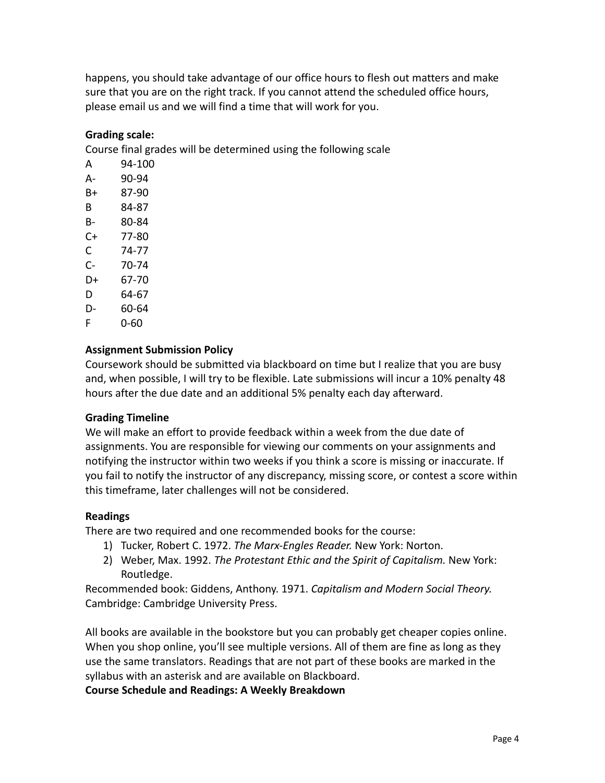happens, you should take advantage of our office hours to flesh out matters and make sure that you are on the right track. If you cannot attend the scheduled office hours, please email us and we will find a time that will work for you.

# **Grading scale:**

Course final grades will be determined using the following scale

A 94-100 A- 90-94 B+ 87-90 B 84-87 B- 80-84 C+ 77-80 C 74-77 C- 70-74 D+ 67-70 D 64-67 D- 60-64 F 0-60

## **Assignment Submission Policy**

Coursework should be submitted via blackboard on time but I realize that you are busy and, when possible, I will try to be flexible. Late submissions will incur a 10% penalty 48 hours after the due date and an additional 5% penalty each day afterward.

## **Grading Timeline**

We will make an effort to provide feedback within a week from the due date of assignments. You are responsible for viewing our comments on your assignments and notifying the instructor within two weeks if you think a score is missing or inaccurate. If you fail to notify the instructor of any discrepancy, missing score, or contest a score within this timeframe, later challenges will not be considered.

### **Readings**

There are two required and one recommended books for the course:

- 1) Tucker, Robert C. 1972. *The Marx-Engles Reader.* New York: Norton.
- 2) Weber, Max. 1992. *The Protestant Ethic and the Spirit of Capitalism.* New York: Routledge.

Recommended book: Giddens, Anthony. 1971. *Capitalism and Modern Social Theory.* Cambridge: Cambridge University Press.

All books are available in the bookstore but you can probably get cheaper copies online. When you shop online, you'll see multiple versions. All of them are fine as long as they use the same translators. Readings that are not part of these books are marked in the syllabus with an asterisk and are available on Blackboard.

**Course Schedule and Readings: A Weekly Breakdown**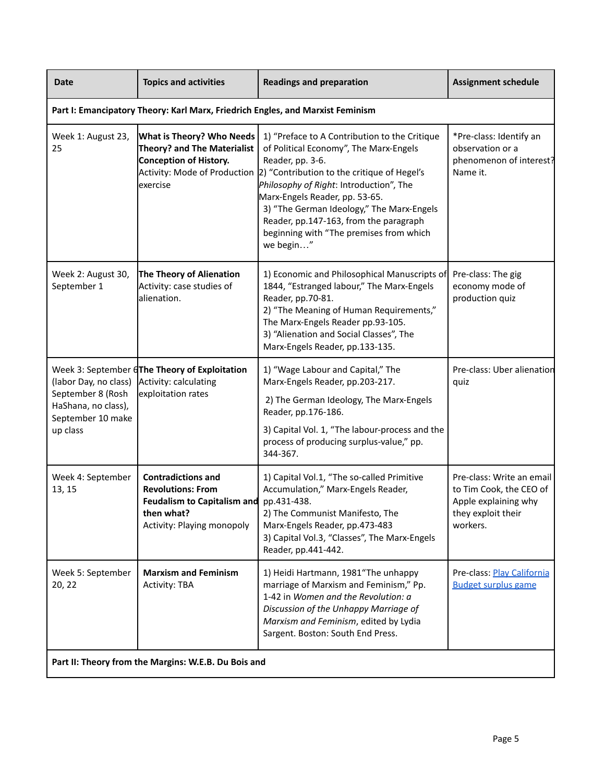| <b>Date</b>                                                                                                              | <b>Topics and activities</b>                                                                                                            | <b>Readings and preparation</b>                                                                                                                                                                                                                                                                                                                                                                                     | <b>Assignment schedule</b>                                                                                     |
|--------------------------------------------------------------------------------------------------------------------------|-----------------------------------------------------------------------------------------------------------------------------------------|---------------------------------------------------------------------------------------------------------------------------------------------------------------------------------------------------------------------------------------------------------------------------------------------------------------------------------------------------------------------------------------------------------------------|----------------------------------------------------------------------------------------------------------------|
|                                                                                                                          | Part I: Emancipatory Theory: Karl Marx, Friedrich Engles, and Marxist Feminism                                                          |                                                                                                                                                                                                                                                                                                                                                                                                                     |                                                                                                                |
| Week 1: August 23,<br>25                                                                                                 | <b>What is Theory? Who Needs</b><br>Theory? and The Materialist<br>Conception of History.<br>exercise                                   | 1) "Preface to A Contribution to the Critique<br>of Political Economy", The Marx-Engels<br>Reader, pp. 3-6.<br>Activity: Mode of Production 2) "Contribution to the critique of Hegel's<br>Philosophy of Right: Introduction", The<br>Marx-Engels Reader, pp. 53-65.<br>3) "The German Ideology," The Marx-Engels<br>Reader, pp.147-163, from the paragraph<br>beginning with "The premises from which<br>we begin" | *Pre-class: Identify an<br>observation or a<br>phenomenon of interest?<br>Name it.                             |
| Week 2: August 30,<br>September 1                                                                                        | The Theory of Alienation<br>Activity: case studies of<br>alienation.                                                                    | 1) Economic and Philosophical Manuscripts of<br>1844, "Estranged labour," The Marx-Engels<br>Reader, pp.70-81.<br>2) "The Meaning of Human Requirements,"<br>The Marx-Engels Reader pp.93-105.<br>3) "Alienation and Social Classes", The<br>Marx-Engels Reader, pp.133-135.                                                                                                                                        | Pre-class: The gig<br>economy mode of<br>production quiz                                                       |
| (labor Day, no class) Activity: calculating<br>September 8 (Rosh<br>HaShana, no class),<br>September 10 make<br>up class | Week 3: September 6The Theory of Exploitation<br>exploitation rates                                                                     | 1) "Wage Labour and Capital," The<br>Marx-Engels Reader, pp.203-217.<br>2) The German Ideology, The Marx-Engels<br>Reader, pp.176-186.<br>3) Capital Vol. 1, "The labour-process and the<br>process of producing surplus-value," pp.<br>344-367.                                                                                                                                                                    | Pre-class: Uber alienation<br>quiz                                                                             |
| Week 4: September<br>13, 15                                                                                              | <b>Contradictions and</b><br><b>Revolutions: From</b><br><b>Feudalism to Capitalism and</b><br>then what?<br>Activity: Playing monopoly | 1) Capital Vol.1, "The so-called Primitive<br>Accumulation," Marx-Engels Reader,<br>pp.431-438.<br>2) The Communist Manifesto, The<br>Marx-Engels Reader, pp.473-483<br>3) Capital Vol.3, "Classes", The Marx-Engels<br>Reader, pp.441-442.                                                                                                                                                                         | Pre-class: Write an email<br>to Tim Cook, the CEO of<br>Apple explaining why<br>they exploit their<br>workers. |
| Week 5: September<br>20, 22                                                                                              | <b>Marxism and Feminism</b><br><b>Activity: TBA</b>                                                                                     | 1) Heidi Hartmann, 1981"The unhappy<br>marriage of Marxism and Feminism," Pp.<br>1-42 in Women and the Revolution: a<br>Discussion of the Unhappy Marriage of<br>Marxism and Feminism, edited by Lydia<br>Sargent. Boston: South End Press.                                                                                                                                                                         | Pre-class: Play California<br><b>Budget surplus game</b>                                                       |
| Part II: Theory from the Margins: W.E.B. Du Bois and                                                                     |                                                                                                                                         |                                                                                                                                                                                                                                                                                                                                                                                                                     |                                                                                                                |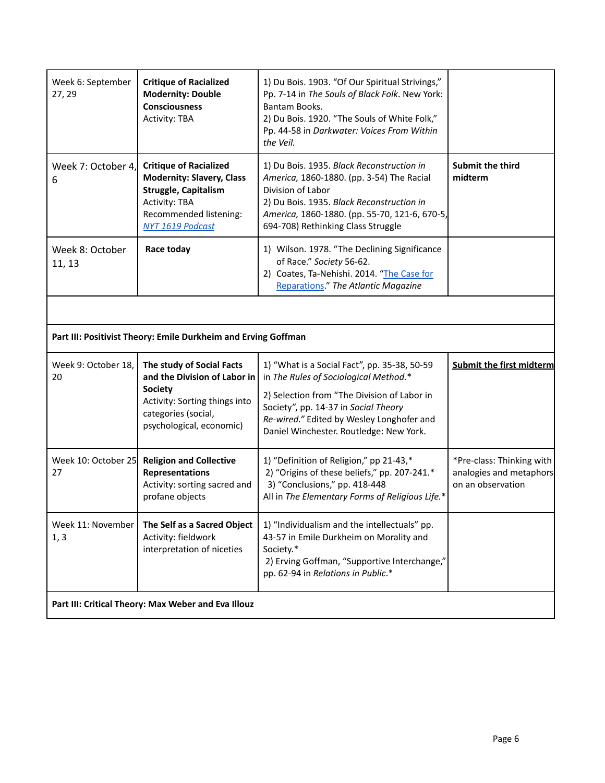| Week 6: September<br>27, 29                         | <b>Critique of Racialized</b><br><b>Modernity: Double</b><br><b>Consciousness</b><br><b>Activity: TBA</b>                                                              | 1) Du Bois. 1903. "Of Our Spiritual Strivings,"<br>Pp. 7-14 in The Souls of Black Folk. New York:<br>Bantam Books.<br>2) Du Bois. 1920. "The Souls of White Folk,"<br>Pp. 44-58 in Darkwater: Voices From Within<br>the Veil.                                        |                                                                           |  |
|-----------------------------------------------------|------------------------------------------------------------------------------------------------------------------------------------------------------------------------|----------------------------------------------------------------------------------------------------------------------------------------------------------------------------------------------------------------------------------------------------------------------|---------------------------------------------------------------------------|--|
| Week 7: October 4,<br>6                             | <b>Critique of Racialized</b><br><b>Modernity: Slavery, Class</b><br><b>Struggle, Capitalism</b><br><b>Activity: TBA</b><br>Recommended listening:<br>NYT 1619 Podcast | 1) Du Bois. 1935. Black Reconstruction in<br>America, 1860-1880. (pp. 3-54) The Racial<br>Division of Labor<br>2) Du Bois. 1935. Black Reconstruction in<br>America, 1860-1880. (pp. 55-70, 121-6, 670-5,<br>694-708) Rethinking Class Struggle                      | <b>Submit the third</b><br>midterm                                        |  |
| Week 8: October<br>11, 13                           | Race today                                                                                                                                                             | 1) Wilson. 1978. "The Declining Significance<br>of Race." Society 56-62.<br>2) Coates, Ta-Nehishi. 2014. "The Case for<br>Reparations." The Atlantic Magazine                                                                                                        |                                                                           |  |
|                                                     |                                                                                                                                                                        |                                                                                                                                                                                                                                                                      |                                                                           |  |
|                                                     | Part III: Positivist Theory: Emile Durkheim and Erving Goffman                                                                                                         |                                                                                                                                                                                                                                                                      |                                                                           |  |
| Week 9: October 18,<br>20                           | The study of Social Facts<br>and the Division of Labor in<br><b>Society</b><br>Activity: Sorting things into<br>categories (social,<br>psychological, economic)        | 1) "What is a Social Fact", pp. 35-38, 50-59<br>in The Rules of Sociological Method.*<br>2) Selection from "The Division of Labor in<br>Society", pp. 14-37 in Social Theory<br>Re-wired." Edited by Wesley Longhofer and<br>Daniel Winchester. Routledge: New York. | <b>Submit the first midterm</b>                                           |  |
| 27                                                  | Week 10: October 25 Religion and Collective<br><b>Representations</b><br>Activity: sorting sacred and<br>profane objects                                               | 1) "Definition of Religion," pp 21-43,*<br>2) "Origins of these beliefs," pp. 207-241.*<br>3) "Conclusions," pp. 418-448<br>All in The Elementary Forms of Religious Life.*                                                                                          | *Pre-class: Thinking with<br>analogies and metaphors<br>on an observation |  |
| Week 11: November<br>1, 3                           | The Self as a Sacred Object<br>Activity: fieldwork<br>interpretation of niceties                                                                                       | 1) "Individualism and the intellectuals" pp.<br>43-57 in Emile Durkheim on Morality and<br>Society.*<br>2) Erving Goffman, "Supportive Interchange,"<br>pp. 62-94 in Relations in Public.*                                                                           |                                                                           |  |
| Part III: Critical Theory: Max Weber and Eva Illouz |                                                                                                                                                                        |                                                                                                                                                                                                                                                                      |                                                                           |  |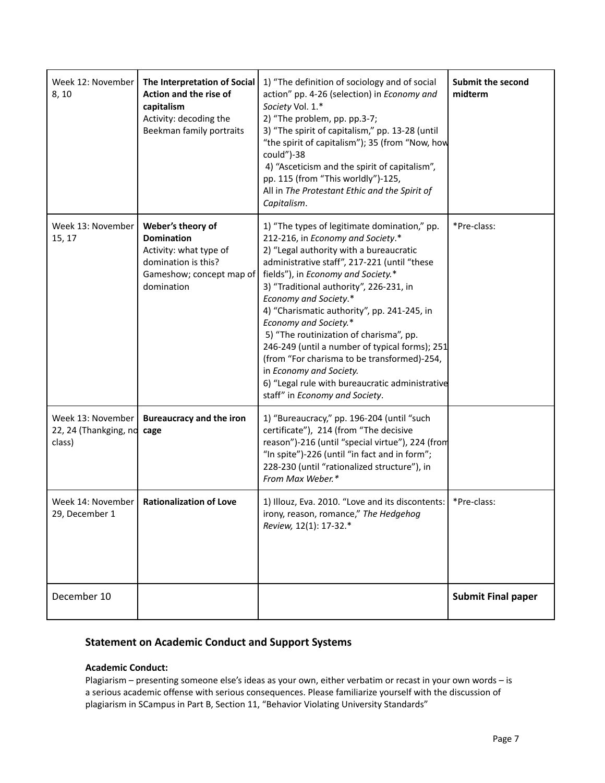| Week 12: November<br>8, 10                           | The Interpretation of Social<br>Action and the rise of<br>capitalism<br>Activity: decoding the<br>Beekman family portraits        | 1) "The definition of sociology and of social<br>action" pp. 4-26 (selection) in Economy and<br>Society Vol. 1.*<br>2) "The problem, pp. pp.3-7;<br>3) "The spirit of capitalism," pp. 13-28 (until<br>"the spirit of capitalism"); 35 (from "Now, how<br>could")-38<br>4) "Asceticism and the spirit of capitalism",<br>pp. 115 (from "This worldly")-125,<br>All in The Protestant Ethic and the Spirit of<br>Capitalism.                                                                                                                                                                                                       | <b>Submit the second</b><br>midterm |
|------------------------------------------------------|-----------------------------------------------------------------------------------------------------------------------------------|-----------------------------------------------------------------------------------------------------------------------------------------------------------------------------------------------------------------------------------------------------------------------------------------------------------------------------------------------------------------------------------------------------------------------------------------------------------------------------------------------------------------------------------------------------------------------------------------------------------------------------------|-------------------------------------|
| Week 13: November<br>15, 17                          | Weber's theory of<br><b>Domination</b><br>Activity: what type of<br>domination is this?<br>Gameshow; concept map of<br>domination | 1) "The types of legitimate domination," pp.<br>212-216, in Economy and Society.*<br>2) "Legal authority with a bureaucratic<br>administrative staff", 217-221 (until "these<br>fields"), in Economy and Society.*<br>3) "Traditional authority", 226-231, in<br><b>Economy and Society.*</b><br>4) "Charismatic authority", pp. 241-245, in<br>Economy and Society.*<br>5) "The routinization of charisma", pp.<br>246-249 (until a number of typical forms); 251<br>(from "For charisma to be transformed)-254,<br>in Economy and Society.<br>6) "Legal rule with bureaucratic administrative<br>staff" in Economy and Society. | *Pre-class:                         |
| Week 13: November<br>22, 24 (Thankging, no<br>class) | <b>Bureaucracy and the iron</b><br>cage                                                                                           | 1) "Bureaucracy," pp. 196-204 (until "such<br>certificate"), 214 (from "The decisive<br>reason")-216 (until "special virtue"), 224 (from<br>"In spite")-226 (until "in fact and in form";<br>228-230 (until "rationalized structure"), in<br>From Max Weber.*                                                                                                                                                                                                                                                                                                                                                                     |                                     |
| Week 14: November<br>29, December 1                  | <b>Rationalization of Love</b>                                                                                                    | 1) Illouz, Eva. 2010. "Love and its discontents:<br>irony, reason, romance," The Hedgehog<br>Review, 12(1): 17-32.*                                                                                                                                                                                                                                                                                                                                                                                                                                                                                                               | *Pre-class:                         |
| December 10                                          |                                                                                                                                   |                                                                                                                                                                                                                                                                                                                                                                                                                                                                                                                                                                                                                                   | <b>Submit Final paper</b>           |

# **Statement on Academic Conduct and Support Systems**

#### **Academic Conduct:**

Plagiarism – presenting someone else's ideas as your own, either verbatim or recast in your own words – is a serious academic offense with serious consequences. Please familiarize yourself with the discussion of plagiarism in SCampus in Part B, Section 11, "Behavior Violating University Standards"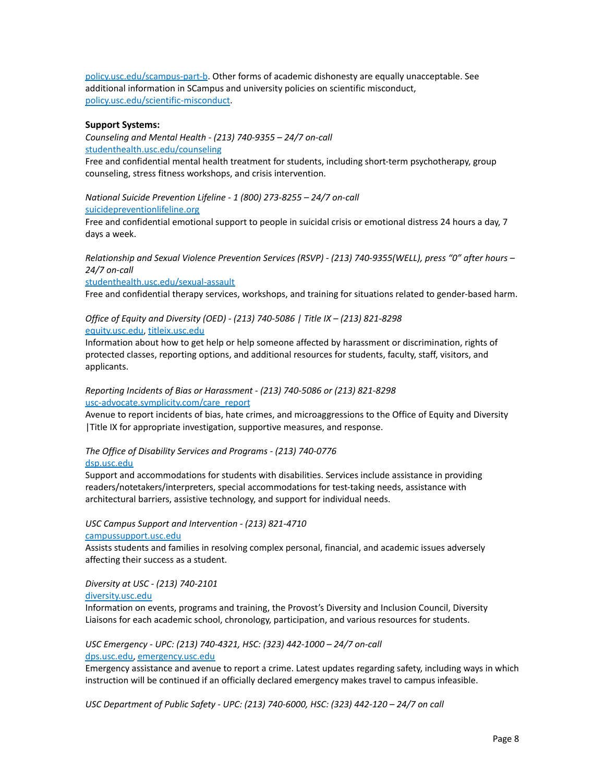[policy.usc.edu/scampus-part-b](https://policy.usc.edu/scampus-part-b/). Other forms of academic dishonesty are equally unacceptable. See additional information in SCampus and university policies on scientific misconduct, [policy.usc.edu/scientific-misconduct.](http://policy.usc.edu/scientific-misconduct)

#### **Support Systems:**

*Counseling and Mental Health - (213) 740-9355 – 24/7 on-call* [studenthealth.usc.edu/counseling](https://studenthealth.usc.edu/counseling/)

Free and confidential mental health treatment for students, including short-term psychotherapy, group [co](https://engemannshc.usc.edu/counseling/)unseling, stress fitness workshops, and crisis intervention.

*National Suicide Prevention Lifeline - 1 (800) 273-8255 – 24/7 on-call* [suicidepreventionlifeline.org](http://www.suicidepreventionlifeline.org/)

Free and confidential emotional support to people in suicidal crisis or emotional distress 24 hours a day, 7 [da](http://www.suicidepreventionlifeline.org/)ys a week.

*Relationship and Sexual Violence Prevention Services (RSVP) - (213) 740-9355(WELL), press "0" after hours – 24/7 on-call*

[studenthealth.usc.edu/sexual-assault](https://studenthealth.usc.edu/sexual-assault/)

Free and confidential therapy services, workshops, and training for situations related to gender-based harm[.](https://engemannshc.usc.edu/rsvp/)

### *Office of Equity and Diversity (OED) - (213) 740-5086 | Title IX – (213) 821-8298* [equity.usc.edu](https://equity.usc.edu/), [titleix.usc.edu](http://titleix.usc.edu)

Information about how to get help or help someone affected by harassment or discrimination, rights of protected classes, reporting options, and additional resources for students, faculty, staff, visitors, and applicants.

#### *Reporting Incidents of Bias or Harassment - (213) 740-5086 or (213) 821-8298* [usc-advocate.symplicity.com/care\\_report](https://usc-advocate.symplicity.com/care_report/)

Avenue to report incidents of bias, hate crimes, and microaggressions to t[he](https://studentaffairs.usc.edu/bias-assessment-response-support/) Office of Equity and Diversity |Title IX for appropriate investigation, supportive measures, and response.

#### *The Office of Disability Services and Programs - (213) 740-0776*

#### [dsp.usc.edu](http://dsp.usc.edu/)

Support and accommodations for students with disabilities. Services include assistance in providing readers/notetakers/interpreters, special accommodations for test-taking needs, assistance with architectural barriers, assistive technology, and support for individual needs.

#### *USC Campus Support and Intervention - (213) 821-4710*

[campussupport.usc.edu](https://campussupport.usc.edu/)

Assists students and families in resolving complex personal, financial, and academic issues adversely affecting their success as a student.

#### *Diversity at USC - (213) 740-2101*

#### [diversity.usc.edu](https://diversity.usc.edu/)

Information on events, programs and training, the Provost's Diversity and Inclusion Council, Diversity Liaisons for each academic school, chronology, participation, and various resources for students.

*USC Emergency - UPC: (213) 740-4321, HSC: (323) 442-1000 – 24/7 on-call* [dps.usc.edu,](http://dps.usc.edu/) [emergency.usc.edu](http://emergency.usc.edu/)

Emergency assistance and avenue to report a crime. Latest updates regarding safety, including ways in which instruction will be continued if an officially declared emergency makes travel to campus infeasible.

*USC Department of Public Safety - UPC: (213) 740-6000, HSC: (323) 442-120 – 24/7 on call*